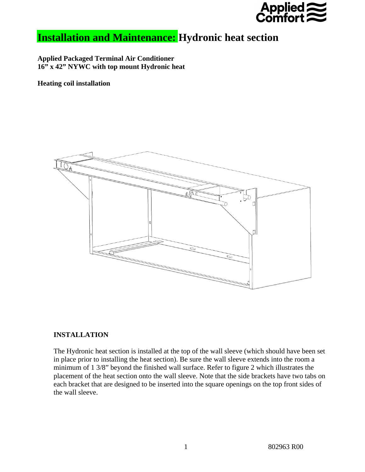

## **Installation and Maintenance: Hydronic heat section**

**Applied Packaged Terminal Air Conditioner 16" x 42" NYWC with top mount Hydronic heat** 

**Heating coil installation** 



## **INSTALLATION**

The Hydronic heat section is installed at the top of the wall sleeve (which should have been set in place prior to installing the heat section). Be sure the wall sleeve extends into the room a minimum of 1 3/8" beyond the finished wall surface. Refer to figure 2 which illustrates the placement of the heat section onto the wall sleeve. Note that the side brackets have two tabs on each bracket that are designed to be inserted into the square openings on the top front sides of the wall sleeve.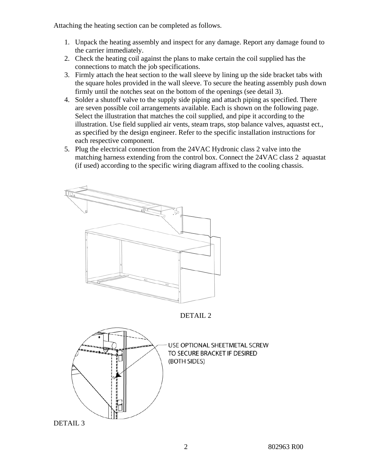Attaching the heating section can be completed as follows.

- 1. Unpack the heating assembly and inspect for any damage. Report any damage found to the carrier immediately.
- 2. Check the heating coil against the plans to make certain the coil supplied has the connections to match the job specifications.
- 3. Firmly attach the heat section to the wall sleeve by lining up the side bracket tabs with the square holes provided in the wall sleeve. To secure the heating assembly push down firmly until the notches seat on the bottom of the openings (see detail 3).
- 4. Solder a shutoff valve to the supply side piping and attach piping as specified. There are seven possible coil arrangements available. Each is shown on the following page. Select the illustration that matches the coil supplied, and pipe it according to the illustration. Use field supplied air vents, steam traps, stop balance valves, aquastst ect., as specified by the design engineer. Refer to the specific installation instructions for each respective component.
- 5. Plug the electrical connection from the 24VAC Hydronic class 2 valve into the matching harness extending from the control box. Connect the 24VAC class 2 aquastat (if used) according to the specific wiring diagram affixed to the cooling chassis.



DETAIL 3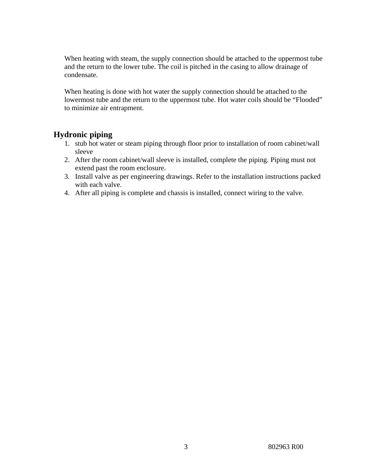When heating with steam, the supply connection should be attached to the uppermost tube and the return to the lower tube. The coil is pitched in the casing to allow drainage of condensate.

When heating is done with hot water the supply connection should be attached to the lowermost tube and the return to the uppermost tube. Hot water coils should be "Flooded" to minimize air entrapment.

## **Hydronic piping**

- 1. stub hot water or steam piping through floor prior to installation of room cabinet/wall sleeve
- 2. After the room cabinet/wall sleeve is installed, complete the piping. Piping must not extend past the room enclosure.
- 3. Install valve as per engineering drawings. Refer to the installation instructions packed with each valve.
- 4. After all piping is complete and chassis is installed, connect wiring to the valve.